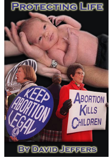# **PROTECTING LIFE**

#### **DAVID JEI** FFERS

ABORTION

CHILDREN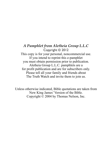*A Pamphlet from Aletheia Group L.L.C* Copyright © 2012 This copy is for your personal, noncommercial use. If you intend to reprint this e-pamphlet you must obtain permission prior to publication. Aletheia Group L.L.C. pamphlets are a for profit publication and are for subscribers only. Please tell all your family and friends about The Truth Watch and invite them to join us.

Unless otherwise indicated, Bible quotations are taken from New King James' Version of the Bible. Copyright © 2004 by Thomas Nelson, Inc.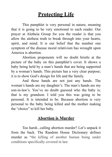## **Protecting Life**

 This pamphlet is very personal in nature, meaning that it is going to be very emotional to each reader. Our prayer at Aletheia Group for you the reader is that you allow the aletheia truth to break through into your hearts, spirit, and mind. It is our belief that the number one symptom of the disease moral relativism has wrought upon America is abortion.

 Abortion proponents will no doubt bristle at the picture of the baby on this pamphlet's cover. It shows a baby being held by a man's hands that are being supported by a woman's hands. This picture has a very clear purpose; it is to show God's design for life and the family.

 And those hands are not just any hands. The woman's hands are my daughter's. The man's hands are my son-in-law's. You've no doubt guessed who the baby is; that is my grandson. I told you this was going to be personal. It is intended to be. Because abortion is very personal to the baby being killed and the mother making the "choice" to kill her baby.

#### **Abortion is Murder**

 Too harsh...calling abortion murder? Let's unpack it from the back. The Random House Dictionary defines murder as "the killing of another human being under conditions specifically covered in law.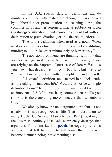In the U.S., special statutory definitions include murder committed with malice aforethought, characterized by deliberation or premeditation or occurring during the commission of another serious crime, as robbery or arson **(first-degree murder),** and murder by intent but without deliberation or premeditation **(second-degree murder).**["i](#page-10-0)

 That is the definition when used as a noun. When used as a verb it is defined as "to kill by an act constituting murder; to kill or slaughter inhumanely or barbarously.["ii](#page-10-1)

 The abortion proponents are thinking right now that abortion is legal in America. No it is not, especially if you are relying on the Supreme Court case of Roe v. Wade as your law. That decision is not only bad law, but it is also "unlaw." However, that is another pamphlet in and of itself.

 A layman's definition, one steeped in aletheia truth, is "the taking of innocent life." Would that not be a simple definition to use? Is not murder the premeditated taking of an innocent life? Of course it is; common sense tells you so. And is there anything more innocent than an unborn baby?

 We already know the next argument: the fetus is not a baby; it is not recognized as life. That is absurd on so many levels. US Senator Marco Rubio (R-Fl) speaking at the Susan B. Anthony List Gala completely destroys that argument. To summarize his [speech](http://www.youtube.com/watch?v=g05ouBZY6o8&feature=g-hist&context=G2a579b0AHTzmZSQADAA), he cogently tells his audience that left to come to full term, that fetus will become a human being, not something else.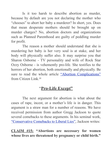Is it too harsh to describe abortion as murder, because by default are you not declaring the mother who "chooses" to abort her baby a murderer? In short, yes. Does that mean desperate mothers should be brought up on murder charges? No, abortion doctors and organizations such as Planned Parenthood are guilty of peddling murder for profit.

 The reason a mother should understand that she is murdering her baby is her very soul is at stake, and her body will physically suffer also. It may surprise you that Sharon Osborne - TV personality and wife of Rock Star Ozzy Osborne - is vehemently pro-life. She testifies to the horrors of her abortion, both emotionally and physically. Be sure to read the whole article ["Abortion Complications"](http://www.citizenlink.com/2011/01/18/abortion-complications/) from Citizen Link.<sup>[iii](#page-10-2)</sup>

#### "**Pro-Life Except"**

 The next argument for abortion is what about the cases of rape, incest, or a mother's life is in danger. This argument is a straw man for a number of reasons. We have received permission from author Gregg Jackson to quote several comebacks to these arguments. In his seminal work, ["Conservative Comebacks to Liberal Lies",](http://www.amazon.com/Conservative-Comebacks-Liberal-Lies-Responses/dp/0977227901?&linkCode=waf&tag=jeffconsservi-20) Jackson writes:

**CLAIM #15: "Abortions are necessary for women whose lives are threatened by pregnancy or child birth."**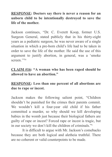**RESPONSE: Doctors say there is never a reason for an unborn child to be intentionally destroyed to save the life of the mother.**

Jackson continues, "Dr. C. Everett Koop, former U.S. Surgeon General, stated publicly that in his thirty-eight years as a pediatric surgeon, he was never aware of a single situation in which a pre-born child's life had to be taken in order to save the life of the mother. He said the use of this argument to justify abortion, in general, was a 'smoke screen<sup>""</sup>[iv](#page-10-3)

**CLAIM #16: "A woman who has been raped should be allowed to have an abortion."**

**RESPONSE: Less than one percent of all abortions are due to rape or incest.**

Jackson makes the following salient point, "Children shouldn't be punished for the crimes their parents commit. We wouldn't kill a four-year old child if his father committed a murder, so why should we kill developing babies in the womb just because their biological fathers are guilty of rape or incest? Forced rape or incest is tragic, but in our society we don't kill the children of criminals.["v](#page-10-4)

 It is difficult to argue with Mr. Jackson's comebacks because they are both logical and aletheia truthful. There are no coherent or valid counterpoints to be made.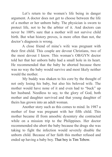Let's return to the women's life being in danger argument. A doctor does not get to choose between the life of a mother or her unborn baby. The physician is sworn to protect life, not to be the arbiter of it. And doctors can never be 100% sure that a mother will not survive child birth. But what history proves, is more often than not, the doctor's diagnosis is wrong.

 A close friend of mine's wife was pregnant with their first child. This couple are devout Christians, two of the most devout I know. This woman's OB/GYN doctor told her that her unborn baby had a small hole in its heart. He recommended that the baby be aborted because there was no way the baby would survive and most likely neither would the mother.

 My buddy was shaken to his core by the thought of not only losing his baby, but also his beloved wife. The mother would have none of it and even had to "buck" up her husband. Needless to say, to the glory of God, both mother and daughter survived and that young daughter of theirs has grown into an adult woman.

 Another story such as this comes to mind. In 1987 a mother of four was pregnant with her fifth child. This mother became ill from amoebic dysentery she contracted while on a mission trip to the Philippines. Her doctor recommended she abort the baby because the drugs she was taking to fight the infection would severely disable the unborn child. Because of her faith this mother refused and ended up having a baby boy. That boy is Tim Tebow.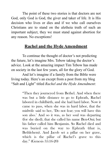The point of these two stories is that doctors are not God, only God is God, the giver and taker of life. It is His decision who lives or dies and if we who call ourselves Christians are to stand on the aletheia truth of such an important subject, they we must stand against abortion for any reason. No exceptions!

### **Rachel and the Hyde Amendment**

 To continue the thought of doctor's not predicting the future, let's imagine Mrs. Tebow taking the doctor's advice. Look at the amazing impact Tim Tebow has made on society in the last few years, all for the glory of God.

 And let's imagine if a family from the Bible were living today. Here's an except from a post from my blog "Salt and Light" titled *Rachel and the Hyde Amendment*:

> "Then they journeyed from Bethel. And when there was but a little distance to go to Ephrath, Rachel labored in childbirth, and she had hard labor. Now it came to pass, when she was in hard labor, that the midwife said to her, 'Do not fear; you will have this son also.' And so it was, as her soul was departing (for she died), that she called his name Ben-Oni; but his father called him Benjamin. So Rachel died and was buried on the way to Ephrath (that is, Bethlehem). And Jacob set a pillar on her grave, which is the pillar of Rachel's grave to this day." (Genesis 35:16-20)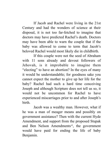If Jacob and Rachel were living in the 21st Century and had the wonders of science at their disposal, it is not too far-fetched to imagine that doctors may have predicted Rachel's death. Doctors may have been able to warn the couple that if the baby was allowed to come to term that Jacob's beloved Rachel would most likely die in childbirth.

 If this couple were not the seed of Abraham with 11 sons already and devout followers of Jehovah, is it improbable to imagine them "electing" to have an abortion? In the eyes of many it would be understandable; for goodness sake you cannot expect the mother to give up her life for the baby? Rachel had such a hard time conceiving Joseph and although Scripture does not tell us so, it would not be uncommon for Rachel to have experienced miscarriages prior to and after Joseph's birth.

 Jacob was a wealthy man. However, what if he was a man of meager means and possibly on government assistance? Then with the current Hyde Amendment, and support from the proposed Stupak and Ben Nelson Amendments<sup>[vi](#page-10-5)</sup>, the government would have paid for ending the life of baby Benjamin.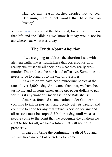Had for any reason Rachel decided not to bear Benjamin, what effect would that have had on history?

You can [read](http://www.saltandlightblog.com/5181/rachel-and-the-hyde-amendment/) the rest of the blog post, but suffice it to say that life and the Bible as we know it today would not be anywhere near what it is today.

### **The Truth About Abortion**

 If we are going to address the abortion issue with aletheia truth, that is truthfulness that corresponds with reality, we must call all abortions what they really are- murder. The truth can be harsh and offensive. Sometimes it needs to be to bring us to the end of ourselves.

 As a nation we have been murdering babies at the rate of over 3,000 a day. And worse than that, we have been justifying and in some cases, using tax-payer dollars to pay for it. Is it any wonder America is in the state she is?

 America, founded as one nation under God, cannot continue to kill its posterity and openly defy its Creator and continue to hope for any real future. Abortion for any and all reasons must be stopped. Until that day, until we as a people come to the point that we recognize the unalienable right to life for all, we face a future that will not bring prosperity.

 It can only bring the continuing wrath of God and we will have no one but ourselves to blame.